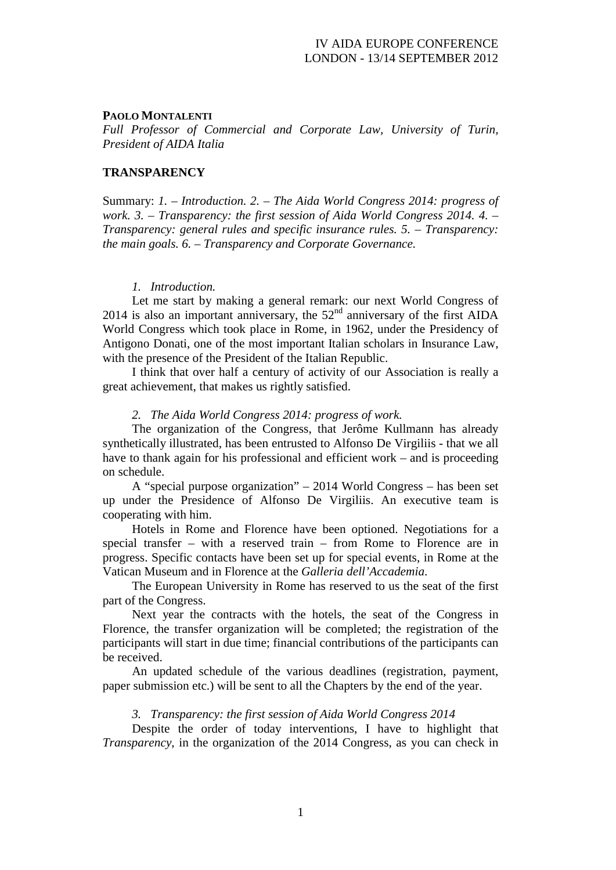## **PAOLO MONTALENTI**

*Full Professor of Commercial and Corporate Law, University of Turin, President of AIDA Italia*

# **TRANSPARENCY**

Summary: *1. – Introduction. 2. – The Aida World Congress 2014: progress of work. 3. – Transparency: the first session of Aida World Congress 2014. 4. – Transparency: general rules and specific insurance rules. 5. – Transparency: the main goals. 6. – Transparency and Corporate Governance.*

#### *1. Introduction.*

Let me start by making a general remark: our next World Congress of 2014 is also an important anniversary, the  $52<sup>nd</sup>$  anniversary of the first AIDA World Congress which took place in Rome, in 1962, under the Presidency of Antigono Donati, one of the most important Italian scholars in Insurance Law, with the presence of the President of the Italian Republic.

I think that over half a century of activity of our Association is really a great achievement, that makes us rightly satisfied.

#### *2. The Aida World Congress 2014: progress of work.*

The organization of the Congress, that Jerôme Kullmann has already synthetically illustrated, has been entrusted to Alfonso De Virgiliis - that we all have to thank again for his professional and efficient work – and is proceeding on schedule.

A "special purpose organization" – 2014 World Congress – has been set up under the Presidence of Alfonso De Virgiliis. An executive team is cooperating with him.

Hotels in Rome and Florence have been optioned. Negotiations for a special transfer – with a reserved train – from Rome to Florence are in progress. Specific contacts have been set up for special events, in Rome at the Vatican Museum and in Florence at the *Galleria dell'Accademia*.

The European University in Rome has reserved to us the seat of the first part of the Congress.

Next year the contracts with the hotels, the seat of the Congress in Florence, the transfer organization will be completed; the registration of the participants will start in due time; financial contributions of the participants can be received.

An updated schedule of the various deadlines (registration, payment, paper submission etc.) will be sent to all the Chapters by the end of the year.

### *3. Transparency: the first session of Aida World Congress 2014*

Despite the order of today interventions, I have to highlight that *Transparency*, in the organization of the 2014 Congress, as you can check in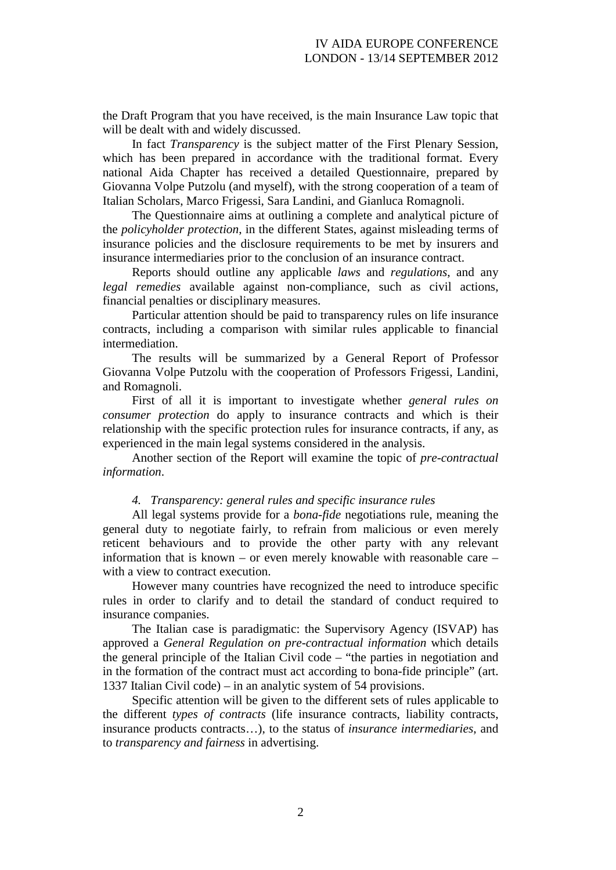the Draft Program that you have received, is the main Insurance Law topic that will be dealt with and widely discussed.

In fact *Transparency* is the subject matter of the First Plenary Session, which has been prepared in accordance with the traditional format. Every national Aida Chapter has received a detailed Questionnaire, prepared by Giovanna Volpe Putzolu (and myself), with the strong cooperation of a team of Italian Scholars, Marco Frigessi, Sara Landini, and Gianluca Romagnoli.

The Questionnaire aims at outlining a complete and analytical picture of the *policyholder protection*, in the different States, against misleading terms of insurance policies and the disclosure requirements to be met by insurers and insurance intermediaries prior to the conclusion of an insurance contract.

Reports should outline any applicable *laws* and *regulations*, and any *legal remedies* available against non-compliance, such as civil actions, financial penalties or disciplinary measures.

Particular attention should be paid to transparency rules on life insurance contracts, including a comparison with similar rules applicable to financial intermediation.

The results will be summarized by a General Report of Professor Giovanna Volpe Putzolu with the cooperation of Professors Frigessi, Landini, and Romagnoli.

First of all it is important to investigate whether *general rules on consumer protection* do apply to insurance contracts and which is their relationship with the specific protection rules for insurance contracts, if any, as experienced in the main legal systems considered in the analysis.

Another section of the Report will examine the topic of *pre-contractual information*.

## *4. Transparency: general rules and specific insurance rules*

All legal systems provide for a *bona-fide* negotiations rule, meaning the general duty to negotiate fairly, to refrain from malicious or even merely reticent behaviours and to provide the other party with any relevant information that is known – or even merely knowable with reasonable care – with a view to contract execution.

However many countries have recognized the need to introduce specific rules in order to clarify and to detail the standard of conduct required to insurance companies.

The Italian case is paradigmatic: the Supervisory Agency (ISVAP) has approved a *General Regulation on pre-contractual information* which details the general principle of the Italian Civil code – "the parties in negotiation and in the formation of the contract must act according to bona-fide principle" (art. 1337 Italian Civil code) – in an analytic system of 54 provisions.

Specific attention will be given to the different sets of rules applicable to the different *types of contracts* (life insurance contracts, liability contracts, insurance products contracts…), to the status of *insurance intermediaries*, and to *transparency and fairness* in advertising.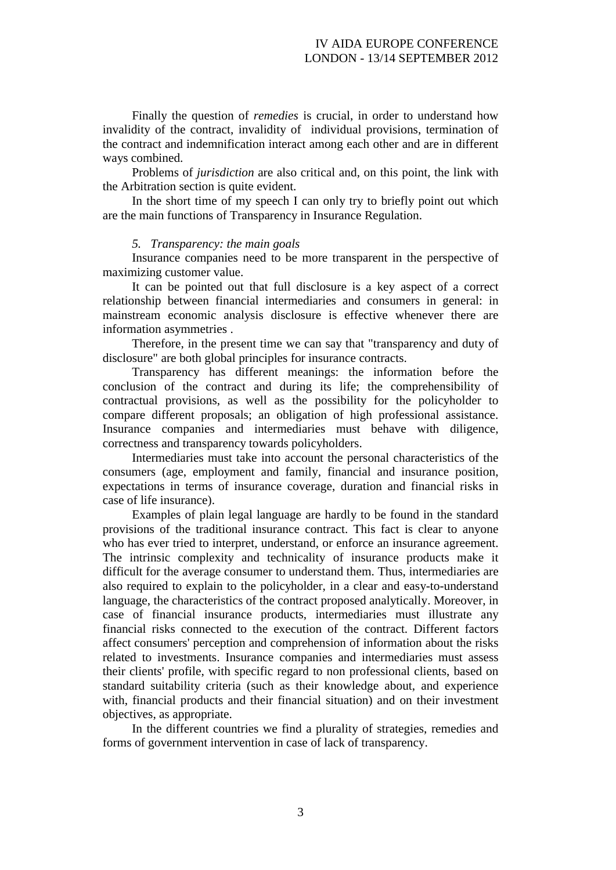Finally the question of *remedies* is crucial, in order to understand how invalidity of the contract, invalidity of individual provisions, termination of the contract and indemnification interact among each other and are in different ways combined.

Problems of *jurisdiction* are also critical and, on this point, the link with the Arbitration section is quite evident.

In the short time of my speech I can only try to briefly point out which are the main functions of Transparency in Insurance Regulation.

#### *5. Transparency: the main goals*

Insurance companies need to be more transparent in the perspective of maximizing customer value.

It can be pointed out that full disclosure is a key aspect of a correct relationship between financial intermediaries and consumers in general: in mainstream economic analysis disclosure is effective whenever there are information asymmetries .

Therefore, in the present time we can say that "transparency and duty of disclosure" are both global principles for insurance contracts.

Transparency has different meanings: the information before the conclusion of the contract and during its life; the comprehensibility of contractual provisions, as well as the possibility for the policyholder to compare different proposals; an obligation of high professional assistance. Insurance companies and intermediaries must behave with diligence, correctness and transparency towards policyholders.

Intermediaries must take into account the personal characteristics of the consumers (age, employment and family, financial and insurance position, expectations in terms of insurance coverage, duration and financial risks in case of life insurance).

Examples of plain legal language are hardly to be found in the standard provisions of the traditional insurance contract. This fact is clear to anyone who has ever tried to interpret, understand, or enforce an insurance agreement. The intrinsic complexity and technicality of insurance products make it difficult for the average consumer to understand them. Thus, intermediaries are also required to explain to the policyholder, in a clear and easy-to-understand language, the characteristics of the contract proposed analytically. Moreover, in case of financial insurance products, intermediaries must illustrate any financial risks connected to the execution of the contract. Different factors affect consumers' perception and comprehension of information about the risks related to investments. Insurance companies and intermediaries must assess their clients' profile, with specific regard to non professional clients, based on standard suitability criteria (such as their knowledge about, and experience with, financial products and their financial situation) and on their investment objectives, as appropriate.

In the different countries we find a plurality of strategies, remedies and forms of government intervention in case of lack of transparency.